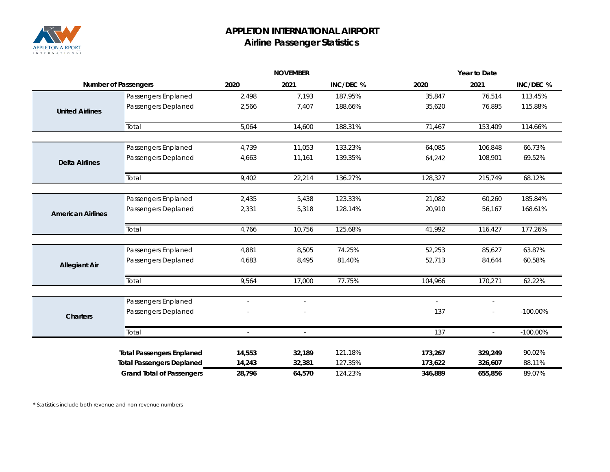

## **APPLETON INTERNATIONAL AIRPORT Airline Passenger Statistics**

|                             |                                  | <b>NOVEMBER</b>          |                          | Year to Date |                          |                |             |
|-----------------------------|----------------------------------|--------------------------|--------------------------|--------------|--------------------------|----------------|-------------|
| <b>Number of Passengers</b> |                                  | 2020                     | 2021                     | INC/DEC %    | 2020                     | 2021           | INC/DEC %   |
|                             | Passengers Enplaned              | 2,498                    | 7,193                    | 187.95%      | 35,847                   | 76,514         | 113.45%     |
| <b>United Airlines</b>      | Passengers Deplaned              | 2,566                    | 7,407                    | 188.66%      | 35,620                   | 76,895         | 115.88%     |
|                             | Total                            | 5,064                    | 14,600                   | 188.31%      | 71,467                   | 153,409        | 114.66%     |
|                             | Passengers Enplaned              | 4,739                    | 11,053                   | 133.23%      | 64,085                   | 106,848        | 66.73%      |
| <b>Delta Airlines</b>       | Passengers Deplaned              | 4,663                    | 11,161                   | 139.35%      | 64,242                   | 108,901        | 69.52%      |
|                             | Total                            | 9,402                    | 22,214                   | 136.27%      | 128,327                  | 215,749        | 68.12%      |
|                             |                                  |                          |                          |              |                          |                |             |
|                             | Passengers Enplaned              | 2,435                    | 5,438                    | 123.33%      | 21,082                   | 60,260         | 185.84%     |
| <b>American Airlines</b>    | Passengers Deplaned              | 2,331                    | 5,318                    | 128.14%      | 20,910                   | 56,167         | 168.61%     |
|                             | Total                            | 4,766                    | 10,756                   | 125.68%      | 41,992                   | 116,427        | 177.26%     |
|                             | Passengers Enplaned              | 4,881                    | 8,505                    | 74.25%       | 52,253                   | 85,627         | 63.87%      |
| <b>Allegiant Air</b>        | Passengers Deplaned              | 4,683                    | 8,495                    | 81.40%       | 52,713                   | 84,644         | 60.58%      |
|                             | Total                            | 9,564                    | 17,000                   | 77.75%       | 104,966                  | 170,271        | 62.22%      |
|                             | Passengers Enplaned              | $\overline{\phantom{0}}$ | $\overline{\phantom{a}}$ |              | $\overline{\phantom{a}}$ | $\frac{1}{2}$  |             |
| <b>Charters</b>             | Passengers Deplaned              |                          |                          |              | 137                      |                | $-100.00\%$ |
|                             | Total                            | $\overline{a}$           | $\sim$                   |              | 137                      | $\overline{a}$ | $-100.00\%$ |
|                             | <b>Total Passengers Enplaned</b> | 14,553                   | 32,189                   | 121.18%      | 173,267                  | 329,249        | 90.02%      |
|                             | <b>Total Passengers Deplaned</b> | 14,243                   | 32,381                   | 127.35%      | 173,622                  | 326,607        | 88.11%      |
|                             | <b>Grand Total of Passengers</b> | 28,796                   | 64,570                   | 124.23%      | 346,889                  | 655,856        | 89.07%      |

*\* Statistics include both revenue and non-revenue numbers*